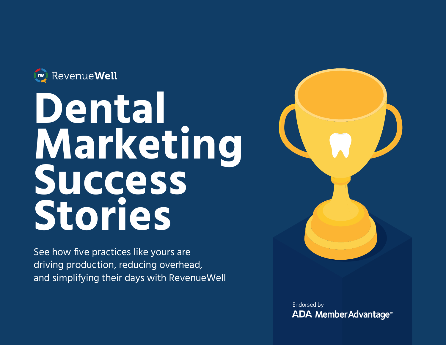

# Dental **Marketing Success Stories**

See how five practices like yours are driving production, reducing overhead, and simplifying their days with RevenueWell



Endorsed by **ADA Member Advantage<sup>®</sup>**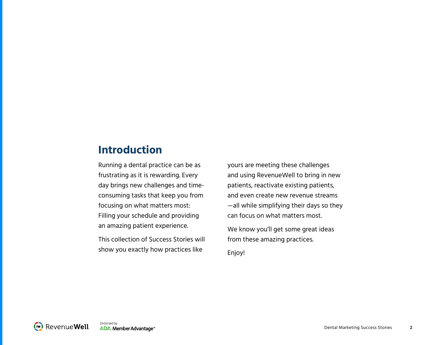#### **Introduction**

Running a dental practice can be as frustrating as it is rewarding. Every day brings new challenges and timeconsuming tasks that keep you from focusing on what matters most: Filling your schedule and providing an amazing patient experience.

This collection of Success Stories will show you exactly how practices like

yours are meeting these challenges and using RevenueWell to bring in new patients, reactivate existing patients, and even create new revenue streams —all while simplifying their days so they can focus on what matters most.

We know you'll get some great ideas from these amazing practices. Enjoy!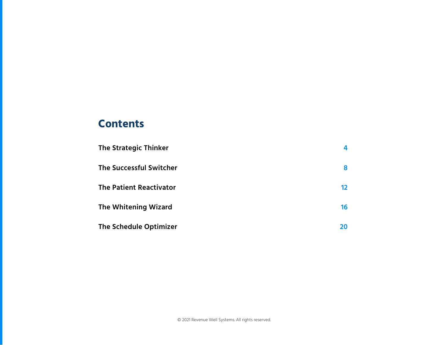#### **Contents**

| <b>The Strategic Thinker</b>   |    |
|--------------------------------|----|
| <b>The Successful Switcher</b> | 8  |
| <b>The Patient Reactivator</b> | 12 |
| <b>The Whitening Wizard</b>    | 16 |
| <b>The Schedule Optimizer</b>  | 20 |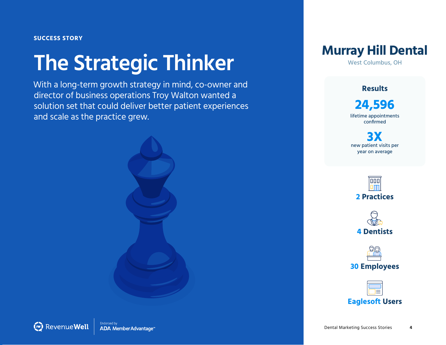## <span id="page-3-0"></span>**The Strategic Thinker**

With a long-term growth strategy in mind, co-owner and director of business operations Troy Walton wanted a solution set that could deliver better patient experiences and scale as the practice grew.





West Columbus, OH

**Results**

**24,596** lifetime appointments confirmed

**3X** new patient visits per year on average





**30 Employees**

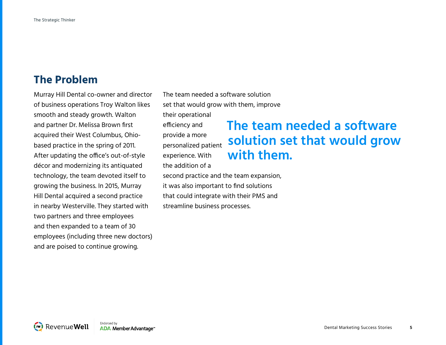#### **The Problem**

Murray Hill Dental co-owner and director of business operations Troy Walton likes smooth and steady growth. Walton and partner Dr. Melissa Brown first acquired their West Columbus, Ohiobased practice in the spring of 2011. After updating the office's out-of-style décor and modernizing its antiquated technology, the team devoted itself to growing the business. In 2015, Murray Hill Dental acquired a second practice in nearby Westerville. They started with two partners and three employees and then expanded to a team of 30 employees (including three new doctors) and are poised to continue growing.

The team needed a software solution set that would grow with them, improve

their operational efficiency and

provide a more personalized patient experience. With the addition of a

### **The team needed a software solution set that would grow with them.**

second practice and the team expansion, it was also important to find solutions that could integrate with their PMS and streamline business processes.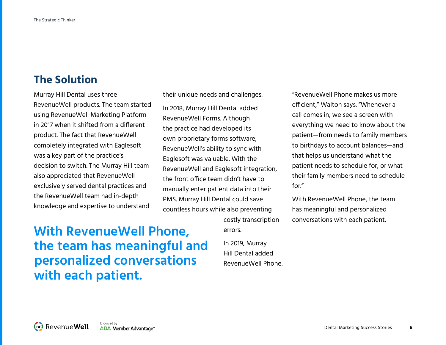#### **The Solution**

Murray Hill Dental uses three RevenueWell products. The team started using RevenueWell Marketing Platform in 2017 when it shifted from a different product. The fact that RevenueWell completely integrated with Eaglesoft was a key part of the practice's decision to switch. The Murray Hill team also appreciated that RevenueWell exclusively served dental practices and the RevenueWell team had in-depth knowledge and expertise to understand

their unique needs and challenges.

In 2018, Murray Hill Dental added RevenueWell Forms. Although the practice had developed its own proprietary forms software, RevenueWell's ability to sync with Eaglesoft was valuable. With the RevenueWell and Eaglesoft integration, the front office team didn't have to manually enter patient data into their PMS. Murray Hill Dental could save countless hours while also preventing

"RevenueWell Phone makes us more efficient," Walton says. "Whenever a call comes in, we see a screen with everything we need to know about the patient—from needs to family members to birthdays to account balances—and that helps us understand what the patient needs to schedule for, or what their family members need to schedule for."

With RevenueWell Phone, the team has meaningful and personalized conversations with each patient.

### **With RevenueWell Phone, the team has meaningful and personalized conversations with each patient.**

In 2019, Murray Hill Dental added RevenueWell Phone.

costly transcription

errors.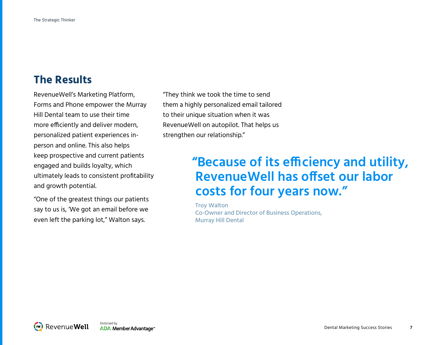#### **The Results**

RevenueWell's Marketing Platform, Forms and Phone empower the Murray Hill Dental team to use their time more efficiently and deliver modern, personalized patient experiences inperson and online. This also helps keep prospective and current patients engaged and builds loyalty, which ultimately leads to consistent profitability and growth potential.

"One of the greatest things our patients say to us is, 'We got an email before we even left the parking lot," Walton says.

"They think we took the time to send them a highly personalized email tailored to their unique situation when it was RevenueWell on autopilot. That helps us strengthen our relationship."

### **"Because of its efficiency and utility, RevenueWell has offset our labor costs for four years now."**

Troy Walton Co-Owner and Director of Business Operations, Murray Hill Dental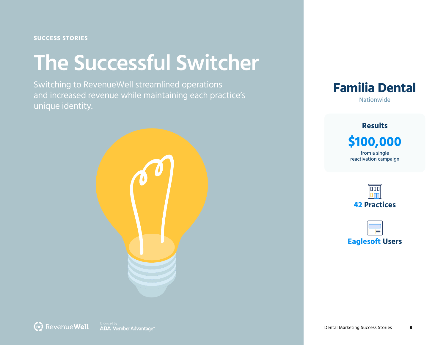#### <span id="page-7-0"></span>**SUCCESS STORIES**

## **The Successful Switcher**

Switching to RevenueWell streamlined operations and increased revenue while maintaining each practice's unique identity.





**\$100,000** from a single reactivation campaign **Results**

> $\boxed{000}$ **42 Practices**

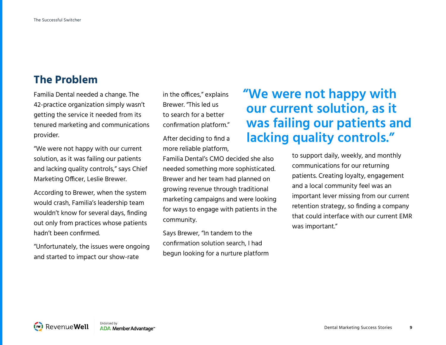#### **The Problem**

Familia Dental needed a change. The 42-practice organization simply wasn't getting the service it needed from its tenured marketing and communications provider.

"We were not happy with our current solution, as it was failing our patients and lacking quality controls," says Chief Marketing Officer, Leslie Brewer.

According to Brewer, when the system would crash, Familia's leadership team wouldn't know for several days, finding out only from practices whose patients hadn't been confirmed.

"Unfortunately, the issues were ongoing and started to impact our show-rate

in the offices," explains Brewer. "This led us to search for a better confirmation platform."

After deciding to find a more reliable platform,

Familia Dental's CMO decided she also needed something more sophisticated. Brewer and her team had planned on growing revenue through traditional marketing campaigns and were looking for ways to engage with patients in the community.

Says Brewer, "In tandem to the confirmation solution search, I had begun looking for a nurture platform

## **"We were not happy with our current solution, as it was failing our patients and lacking quality controls."**

to support daily, weekly, and monthly communications for our returning patients. Creating loyalty, engagement and a local community feel was an important lever missing from our current retention strategy, so finding a company that could interface with our current EMR was important."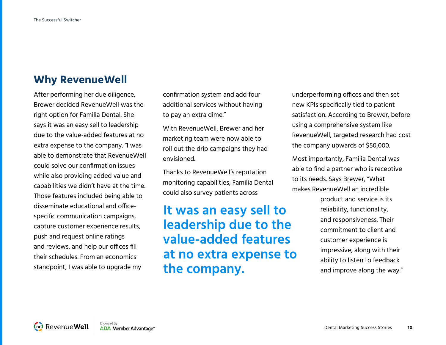#### **Why RevenueWell**

After performing her due diligence, Brewer decided RevenueWell was the right option for Familia Dental. She says it was an easy sell to leadership due to the value-added features at no extra expense to the company. "I was able to demonstrate that RevenueWell could solve our confirmation issues while also providing added value and capabilities we didn't have at the time. Those features included being able to disseminate educational and officespecific communication campaigns, capture customer experience results, push and request online ratings and reviews, and help our offices fill their schedules. From an economics standpoint, I was able to upgrade my

confirmation system and add four additional services without having to pay an extra dime."

With RevenueWell, Brewer and her marketing team were now able to roll out the drip campaigns they had envisioned.

Thanks to RevenueWell's reputation monitoring capabilities, Familia Dental could also survey patients across

**It was an easy sell to leadership due to the value-added features at no extra expense to the company.**

underperforming offices and then set new KPIs specifically tied to patient satisfaction. According to Brewer, before using a comprehensive system like RevenueWell, targeted research had cost the company upwards of \$50,000.

Most importantly, Familia Dental was able to find a partner who is receptive to its needs. Says Brewer, "What makes RevenueWell an incredible

> product and service is its reliability, functionality, and responsiveness. Their commitment to client and customer experience is impressive, along with their ability to listen to feedback and improve along the way."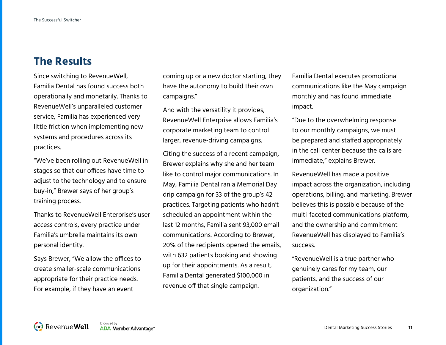#### **The Results**

Since switching to RevenueWell, Familia Dental has found success both operationally and monetarily. Thanks to RevenueWell's unparalleled customer service, Familia has experienced very little friction when implementing new systems and procedures across its practices.

"We've been rolling out RevenueWell in stages so that our offices have time to adjust to the technology and to ensure buy-in," Brewer says of her group's training process.

Thanks to RevenueWell Enterprise's user access controls, every practice under Familia's umbrella maintains its own personal identity.

Says Brewer, "We allow the offices to create smaller-scale communications appropriate for their practice needs. For example, if they have an event

coming up or a new doctor starting, they have the autonomy to build their own campaigns."

And with the versatility it provides, RevenueWell Enterprise allows Familia's corporate marketing team to control larger, revenue-driving campaigns.

Citing the success of a recent campaign, Brewer explains why she and her team like to control major communications. In May, Familia Dental ran a Memorial Day drip campaign for 33 of the group's 42 practices. Targeting patients who hadn't scheduled an appointment within the last 12 months, Familia sent 93,000 email communications. According to Brewer, 20% of the recipients opened the emails, with 632 patients booking and showing up for their appointments. As a result, Familia Dental generated \$100,000 in revenue off that single campaign.

Familia Dental executes promotional communications like the May campaign monthly and has found immediate impact.

"Due to the overwhelming response to our monthly campaigns, we must be prepared and staffed appropriately in the call center because the calls are immediate," explains Brewer.

RevenueWell has made a positive impact across the organization, including operations, billing, and marketing. Brewer believes this is possible because of the multi-faceted communications platform, and the ownership and commitment RevenueWell has displayed to Familia's success.

"RevenueWell is a true partner who genuinely cares for my team, our patients, and the success of our organization."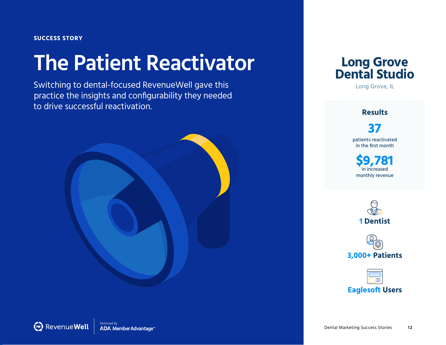#### <span id="page-11-0"></span>**SUCCESS STORY**

## **The Patient Reactivator**

Switching to dental-focused RevenueWell gave this practice the insights and configurability they needed to drive successful reactivation.





#### **Results**

**37** patients reactivated in the first month

**\$9,781** in increased monthly revenue





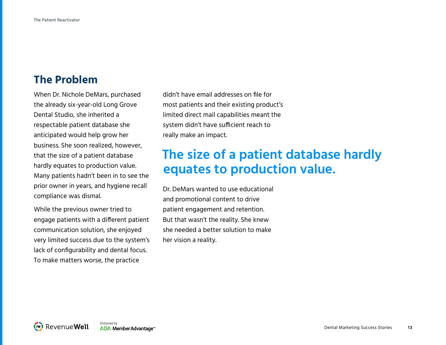#### **The Problem**

When Dr. Nichole DeMars, purchased the already six-year-old Long Grove Dental Studio, she inherited a respectable patient database she anticipated would help grow her business. She soon realized, however, that the size of a patient database hardly equates to production value. Many patients hadn't been in to see the prior owner in years, and hygiene recall compliance was dismal.

While the previous owner tried to engage patients with a different patient communication solution, she enjoyed very limited success due to the system's lack of configurability and dental focus. To make matters worse, the practice

didn't have email addresses on file for most patients and their existing product's limited direct mail capabilities meant the system didn't have sufficient reach to really make an impact.

### **The size of a patient database hardly equates to production value.**

Dr. DeMars wanted to use educational and promotional content to drive patient engagement and retention. But that wasn't the reality. She knew she needed a better solution to make her vision a reality.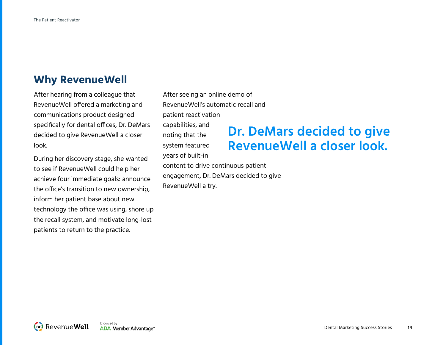#### **Why RevenueWell**

After hearing from a colleague that RevenueWell offered a marketing and communications product designed specifically for dental offices, Dr. DeMars decided to give RevenueWell a closer look.

During her discovery stage, she wanted to see if RevenueWell could help her achieve four immediate goals: announce the office's transition to new ownership, inform her patient base about new technology the office was using, shore up the recall system, and motivate long-lost patients to return to the practice.

After seeing an online demo of RevenueWell's automatic recall and patient reactivation capabilities, and noting that the system featured years of built-in content to drive continuous patient engagement, Dr. DeMars decided to give RevenueWell a try.

### **Dr. DeMars decided to give RevenueWell a closer look.**

Endorsed by (w) Revenue Well ADA Member Advantage\*\*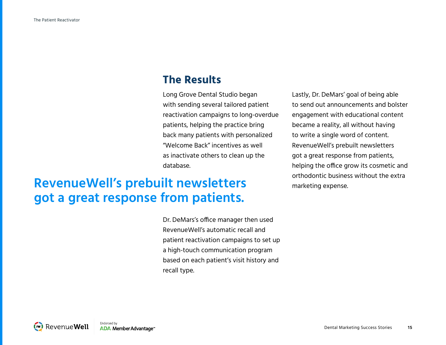#### **The Results**

Long Grove Dental Studio began with sending several tailored patient reactivation campaigns to long-overdue patients, helping the practice bring back many patients with personalized "Welcome Back" incentives as well as inactivate others to clean up the database.

## **RevenueWell's prebuilt newsletters** orthodontic business without the extra **got a great response from patients.**

Dr. DeMars's office manager then used RevenueWell's automatic recall and patient reactivation campaigns to set up a high-touch communication program based on each patient's visit history and recall type.

Lastly, Dr. DeMars' goal of being able to send out announcements and bolster engagement with educational content became a reality, all without having to write a single word of content. RevenueWell's prebuilt newsletters got a great response from patients, helping the office grow its cosmetic and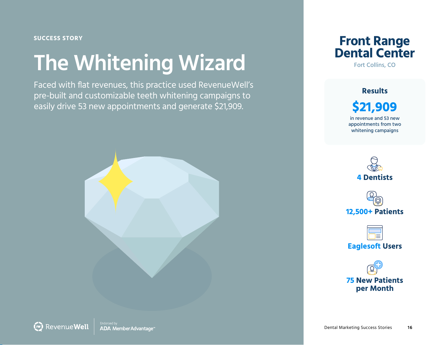<span id="page-15-0"></span>**SUCCESS STORY**

## **The Whitening Wizard**

Faced with flat revenues, this practice used RevenueWell's pre-built and customizable teeth whitening campaigns to easily drive 53 new appointments and generate \$21,909.



**Front Range Dental Center**

Fort Collins, CO

**\$21,909** in revenue and 53 new appointments from two whitening campaigns **Results**







**75 New Patients per Month**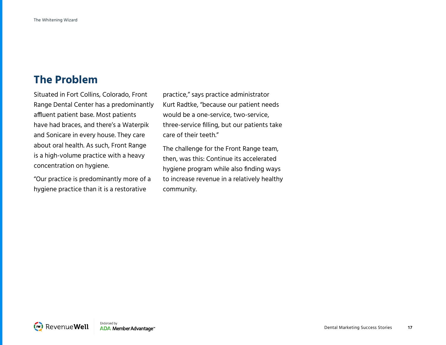#### **The Problem**

Situated in Fort Collins, Colorado, Front Range Dental Center has a predominantly affluent patient base. Most patients have had braces, and there's a Waterpik and Sonicare in every house. They care about oral health. As such, Front Range is a high-volume practice with a heavy concentration on hygiene.

"Our practice is predominantly more of a hygiene practice than it is a restorative

practice," says practice administrator Kurt Radtke, "because our patient needs would be a one-service, two-service, three-service filling, but our patients take care of their teeth."

The challenge for the Front Range team, then, was this: Continue its accelerated hygiene program while also finding ways to increase revenue in a relatively healthy community.

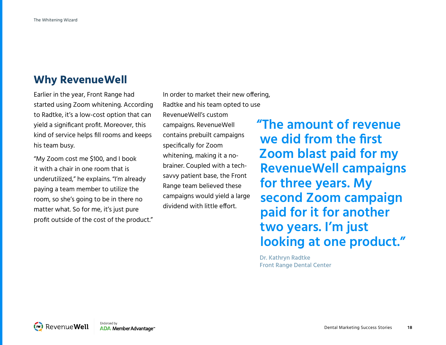#### **Why RevenueWell**

Earlier in the year, Front Range had started using Zoom whitening. According to Radtke, it's a low-cost option that can yield a significant profit. Moreover, this kind of service helps fill rooms and keeps his team busy.

"My Zoom cost me \$100, and I book it with a chair in one room that is underutilized," he explains. "I'm already paying a team member to utilize the room, so she's going to be in there no matter what. So for me, it's just pure profit outside of the cost of the product." In order to market their new offering, Radtke and his team opted to use RevenueWell's custom campaigns. RevenueWell contains prebuilt campaigns specifically for Zoom whitening, making it a nobrainer. Coupled with a techsavvy patient base, the Front Range team believed these campaigns would yield a large dividend with little effort.

**"The amount of revenue we did from the first Zoom blast paid for my RevenueWell campaigns for three years. My second Zoom campaign paid for it for another two years. I'm just looking at one product."**

Dr. Kathryn Radtke Front Range Dental Center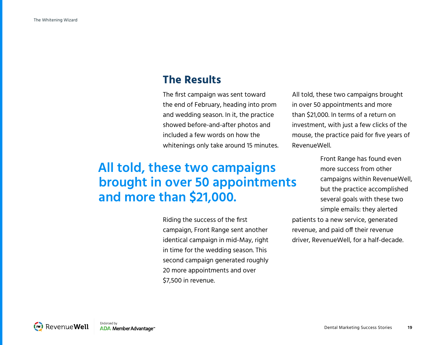#### **The Results**

The first campaign was sent toward the end of February, heading into prom and wedding season. In it, the practice showed before-and-after photos and included a few words on how the whitenings only take around 15 minutes. All told, these two campaigns brought in over 50 appointments and more than \$21,000. In terms of a return on investment, with just a few clicks of the mouse, the practice paid for five years of RevenueWell.

## **All told, these two campaigns brought in over 50 appointments and more than \$21,000.**

Riding the success of the first campaign, Front Range sent another identical campaign in mid-May, right in time for the wedding season. This second campaign generated roughly 20 more appointments and over \$7,500 in revenue.

Front Range has found even more success from other campaigns within RevenueWell, but the practice accomplished several goals with these two simple emails: they alerted patients to a new service, generated revenue, and paid off their revenue driver, RevenueWell, for a half-decade.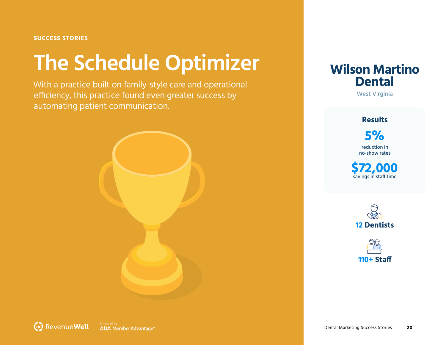#### <span id="page-19-0"></span>**SUCCESS STORIES**

## **The Schedule Optimizer**

With a practice built on family-style care and operational efficiency, this practice found even greater success by automating patient communication.





West Virginia

#### **Results**

**5%** reduction in no-show rates

**\$72,000**<br>savings in staff time



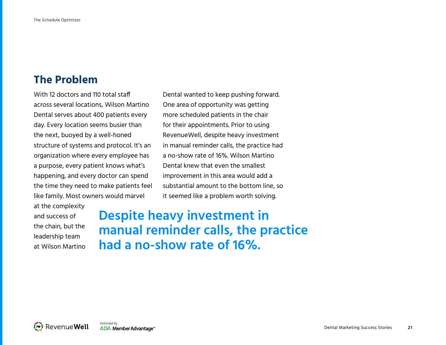#### **The Problem**

With 12 doctors and 110 total staff across several locations, Wilson Martino Dental serves about 400 patients every day. Every location seems busier than the next, buoyed by a well-honed structure of systems and protocol. It's an organization where every employee has a purpose, every patient knows what's happening, and every doctor can spend the time they need to make patients feel like family. Most owners would marvel

at the complexity and success of the chain, but the leadership team at Wilson Martino

Dental wanted to keep pushing forward. One area of opportunity was getting more scheduled patients in the chair for their appointments. Prior to using RevenueWell, despite heavy investment in manual reminder calls, the practice had a no-show rate of 16%. Wilson Martino Dental knew that even the smallest improvement in this area would add a substantial amount to the bottom line, so it seemed like a problem worth solving.

**Despite heavy investment in manual reminder calls, the practice had a no-show rate of 16%.**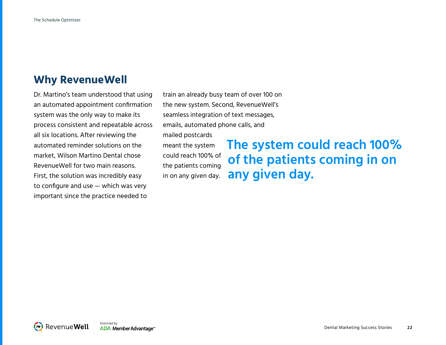#### **Why RevenueWell**

Dr. Martino's team understood that using an automated appointment confirmation system was the only way to make its process consistent and repeatable across all six locations. After reviewing the automated reminder solutions on the market, Wilson Martino Dental chose RevenueWell for two main reasons. First, the solution was incredibly easy to configure and use — which was very important since the practice needed to

train an already busy team of over 100 on the new system. Second, RevenueWell's seamless integration of text messages, emails, automated phone calls, and

mailed postcards meant the system could reach 100% of the patients coming in on any given day.

**The system could reach 100% of the patients coming in on any given day.**

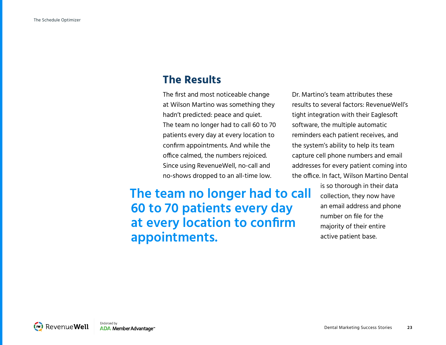#### **The Results**

The first and most noticeable change at Wilson Martino was something they hadn't predicted: peace and quiet. The team no longer had to call 60 to 70 patients every day at every location to confirm appointments. And while the office calmed, the numbers rejoiced. Since using RevenueWell, no-call and no-shows dropped to an all-time low.

**The team no longer had to call 60 to 70 patients every day at every location to confirm appointments.** 

Dr. Martino's team attributes these results to several factors: RevenueWell's tight integration with their Eaglesoft software, the multiple automatic reminders each patient receives, and the system's ability to help its team capture cell phone numbers and email addresses for every patient coming into the office. In fact, Wilson Martino Dental

> is so thorough in their data collection, they now have an email address and phone number on file for the majority of their entire active patient base.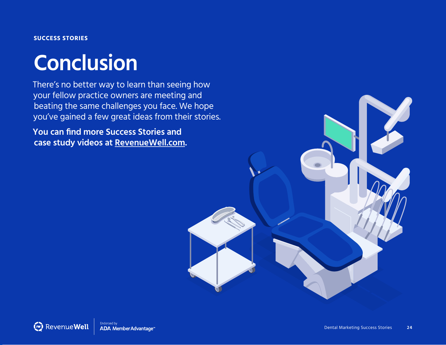#### **SUCCESS STORIES**

## **Conclusion**

There's no better way to learn than seeing how your fellow practice owners are meeting and beating the same challenges you face. We hope you've gained a few great ideas from their stories.

**You can find more Success Stories and case study videos at [RevenueWell.com.](https://www.revenuewell.com/)**

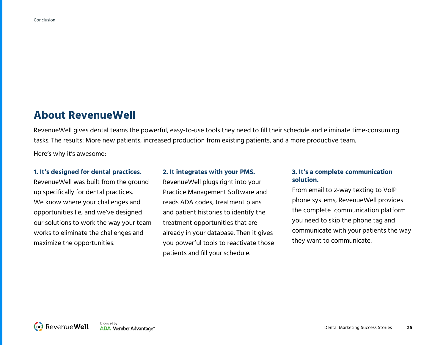#### **About RevenueWell**

RevenueWell gives dental teams the powerful, easy-to-use tools they need to fill their schedule and eliminate time-consuming tasks. The results: More new patients, increased production from existing patients, and a more productive team.

Here's why it's awesome:

#### **1. It's designed for dental practices.**

RevenueWell was built from the ground up specifically for dental practices. We know where your challenges and opportunities lie, and we've designed our solutions to work the way your team works to eliminate the challenges and maximize the opportunities.

#### **2. It integrates with your PMS.**

RevenueWell plugs right into your Practice Management Software and reads ADA codes, treatment plans and patient histories to identify the treatment opportunities that are already in your database. Then it gives you powerful tools to reactivate those patients and fill your schedule.

#### **3. It's a complete communication solution.**

From email to 2-way texting to VoIP phone systems, RevenueWell provides the complete communication platform you need to skip the phone tag and communicate with your patients the way they want to communicate.